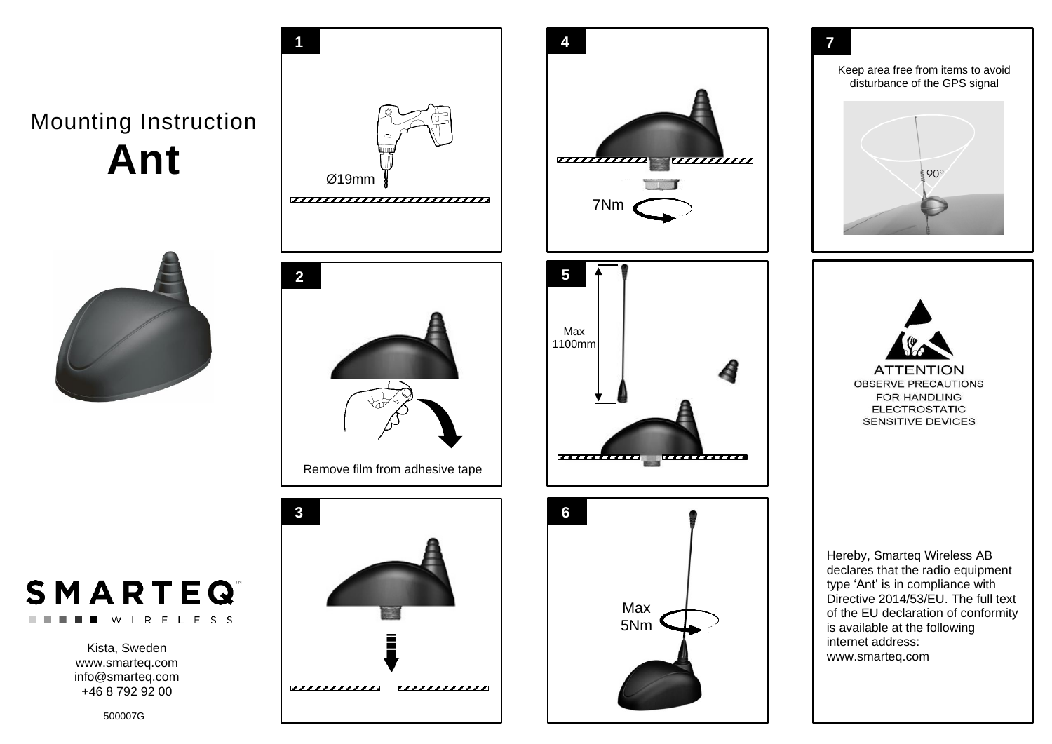Mounting Instruction **Ant**





Kista, Sweden www.smarteq.com [info@smarteq.com](mailto:info@smarteq.com) +46 8 792 92 00





500007G